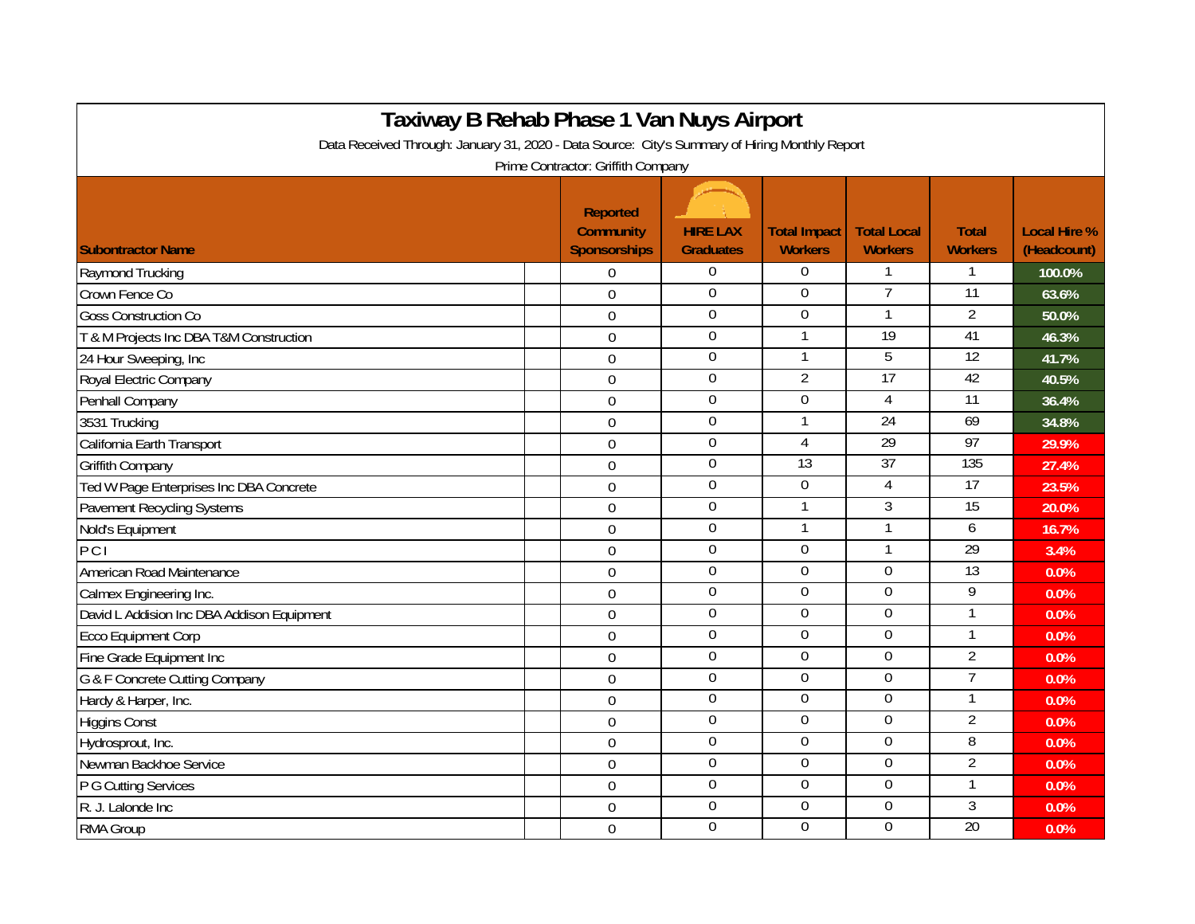| Taxiway B Rehab Phase 1 Van Nuys Airport                                                                                             |  |                                                            |                                     |                                       |                                      |                                |                                    |  |  |  |  |  |
|--------------------------------------------------------------------------------------------------------------------------------------|--|------------------------------------------------------------|-------------------------------------|---------------------------------------|--------------------------------------|--------------------------------|------------------------------------|--|--|--|--|--|
| Data Received Through: January 31, 2020 - Data Source: City's Summary of Hiring Monthly Report<br>Prime Contractor: Griffith Company |  |                                                            |                                     |                                       |                                      |                                |                                    |  |  |  |  |  |
| <b>Subontractor Name</b>                                                                                                             |  | <b>Reported</b><br><b>Community</b><br><b>Sponsorships</b> | <b>HIRE LAX</b><br><b>Graduates</b> | <b>Total Impact</b><br><b>Workers</b> | <b>Total Local</b><br><b>Workers</b> | <b>Total</b><br><b>Workers</b> | <b>Local Hire %</b><br>(Headcount) |  |  |  |  |  |
| Raymond Trucking                                                                                                                     |  | $\Omega$                                                   | $\overline{0}$                      | 0                                     | $\mathbf 1$                          | 1                              | 100.0%                             |  |  |  |  |  |
| Crown Fence Co                                                                                                                       |  | 0                                                          | $\boldsymbol{0}$                    | $\overline{0}$                        | $\overline{7}$                       | $\overline{11}$                | 63.6%                              |  |  |  |  |  |
| <b>Goss Construction Co</b>                                                                                                          |  | $\Omega$                                                   | $\boldsymbol{0}$                    | $\Omega$                              | $\mathbf{1}$                         | $\overline{2}$                 | 50.0%                              |  |  |  |  |  |
| T & M Projects Inc DBA T&M Construction                                                                                              |  | $\mathbf 0$                                                | $\overline{0}$                      | $\mathbf{1}$                          | 19                                   | 41                             | 46.3%                              |  |  |  |  |  |
| 24 Hour Sweeping, Inc                                                                                                                |  | $\overline{0}$                                             | $\mathbf 0$                         | 1                                     | 5                                    | 12                             | 41.7%                              |  |  |  |  |  |
| Royal Electric Company                                                                                                               |  | $\Omega$                                                   | $\boldsymbol{0}$                    | $\overline{2}$                        | 17                                   | 42                             | 40.5%                              |  |  |  |  |  |
| Penhall Company                                                                                                                      |  | $\overline{0}$                                             | $\boldsymbol{0}$                    | $\mathbf 0$                           | $\overline{4}$                       | $\overline{11}$                | 36.4%                              |  |  |  |  |  |
| 3531 Trucking                                                                                                                        |  | $\overline{0}$                                             | $\overline{0}$                      | 1                                     | 24                                   | 69                             | 34.8%                              |  |  |  |  |  |
| California Earth Transport                                                                                                           |  | $\overline{0}$                                             | $\boldsymbol{0}$                    | $\overline{4}$                        | 29                                   | 97                             | 29.9%                              |  |  |  |  |  |
| <b>Griffith Company</b>                                                                                                              |  | $\overline{0}$                                             | $\boldsymbol{0}$                    | 13                                    | 37                                   | 135                            | 27.4%                              |  |  |  |  |  |
| Ted W Page Enterprises Inc DBA Concrete                                                                                              |  | $\Omega$                                                   | $\mathbf 0$                         | $\overline{0}$                        | 4                                    | 17                             | 23.5%                              |  |  |  |  |  |
| <b>Pavement Recycling Systems</b>                                                                                                    |  | $\overline{0}$                                             | $\overline{0}$                      | $\mathbf{1}$                          | $\overline{3}$                       | 15                             | 20.0%                              |  |  |  |  |  |
| Nold's Equipment                                                                                                                     |  | $\mathbf 0$                                                | $\mathbf 0$                         | $\mathbf{1}$                          | $\overline{1}$                       | 6                              | 16.7%                              |  |  |  |  |  |
| PCI                                                                                                                                  |  | $\Omega$                                                   | $\mathbf 0$                         | $\mathbf 0$                           | $\mathbf{1}$                         | 29                             | 3.4%                               |  |  |  |  |  |
| American Road Maintenance                                                                                                            |  | $\mathbf 0$                                                | $\mathbf 0$                         | $\overline{0}$                        | $\mathbf 0$                          | 13                             | 0.0%                               |  |  |  |  |  |
| Calmex Engineering Inc.                                                                                                              |  | $\Omega$                                                   | $\overline{0}$                      | $\overline{0}$                        | $\overline{0}$                       | 9                              | 0.0%                               |  |  |  |  |  |
| David L Addision Inc DBA Addison Equipment                                                                                           |  | $\overline{0}$                                             | $\overline{0}$                      | $\overline{0}$                        | 0                                    | $\mathbf{1}$                   | 0.0%                               |  |  |  |  |  |
| <b>Ecco Equipment Corp</b>                                                                                                           |  | $\overline{0}$                                             | $\boldsymbol{0}$                    | $\overline{0}$                        | $\boldsymbol{0}$                     | 1                              | 0.0%                               |  |  |  |  |  |
| Fine Grade Equipment Inc                                                                                                             |  | $\overline{0}$                                             | $\overline{0}$                      | $\overline{0}$                        | $\overline{0}$                       | $\overline{2}$                 | 0.0%                               |  |  |  |  |  |
| G & F Concrete Cutting Company                                                                                                       |  | $\Omega$                                                   | $\overline{0}$                      | $\overline{0}$                        | $\overline{0}$                       | $\overline{7}$                 | 0.0%                               |  |  |  |  |  |
| Hardy & Harper, Inc.                                                                                                                 |  | $\mathbf 0$                                                | $\overline{0}$                      | $\overline{0}$                        | $\overline{0}$                       | 1                              | 0.0%                               |  |  |  |  |  |
| <b>Higgins Const</b>                                                                                                                 |  | $\Omega$                                                   | $\overline{0}$                      | $\overline{0}$                        | $\overline{0}$                       | $\overline{2}$                 | 0.0%                               |  |  |  |  |  |
| Hydrosprout, Inc.                                                                                                                    |  | $\Omega$                                                   | $\boldsymbol{0}$                    | $\Omega$                              | $\overline{0}$                       | $\overline{8}$                 | 0.0%                               |  |  |  |  |  |
| Newman Backhoe Service                                                                                                               |  | $\overline{0}$                                             | $\overline{0}$                      | $\overline{0}$                        | $\overline{0}$                       | $\overline{2}$                 | 0.0%                               |  |  |  |  |  |
| P G Cutting Services                                                                                                                 |  | $\overline{0}$                                             | $\overline{0}$                      | $\overline{0}$                        | $\overline{0}$                       | 1                              | 0.0%                               |  |  |  |  |  |
| R. J. Lalonde Inc                                                                                                                    |  | $\Omega$                                                   | $\boldsymbol{0}$                    | $\Omega$                              | $\boldsymbol{0}$                     | 3                              | 0.0%                               |  |  |  |  |  |
| RMA Group                                                                                                                            |  | $\overline{0}$                                             | $\boldsymbol{0}$                    | $\Omega$                              | $\overline{0}$                       | $\overline{20}$                | 0.0%                               |  |  |  |  |  |